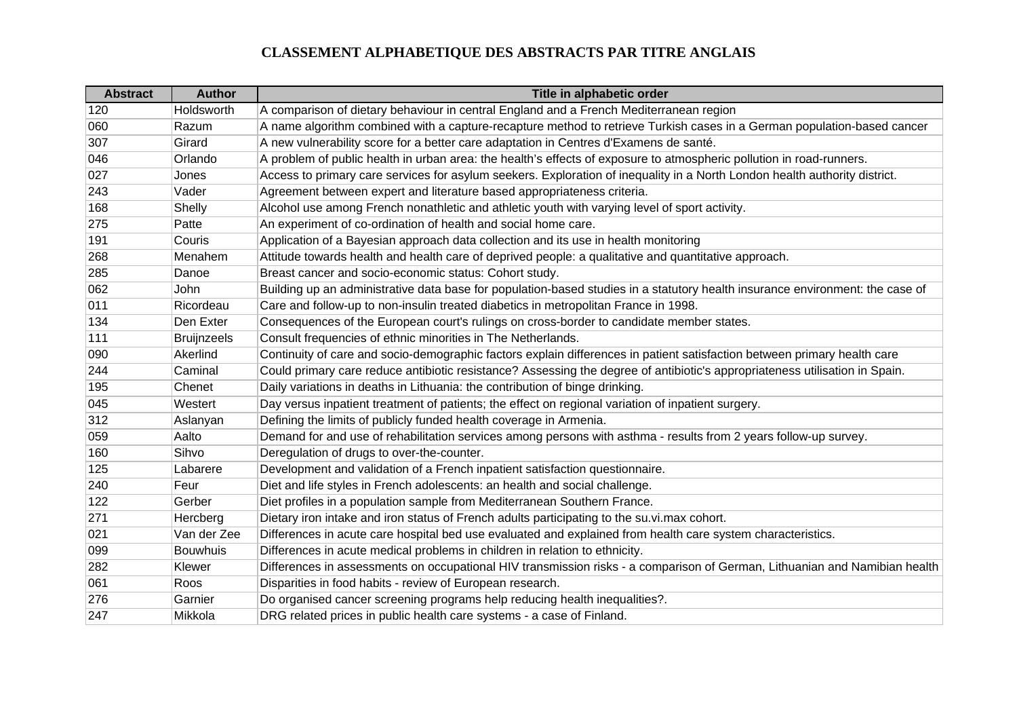| <b>Abstract</b> | <b>Author</b>      | Title in alphabetic order                                                                                                     |
|-----------------|--------------------|-------------------------------------------------------------------------------------------------------------------------------|
| 120             | Holdsworth         | A comparison of dietary behaviour in central England and a French Mediterranean region                                        |
| 060             | Razum              | A name algorithm combined with a capture-recapture method to retrieve Turkish cases in a German population-based cancer       |
| 307             | Girard             | A new vulnerability score for a better care adaptation in Centres d'Examens de santé.                                         |
| 046             | Orlando            | A problem of public health in urban area: the health's effects of exposure to atmospheric pollution in road-runners.          |
| 027             | Jones              | Access to primary care services for asylum seekers. Exploration of inequality in a North London health authority district.    |
| 243             | Vader              | Agreement between expert and literature based appropriateness criteria.                                                       |
| 168             | Shelly             | Alcohol use among French nonathletic and athletic youth with varying level of sport activity.                                 |
| 275             | Patte              | An experiment of co-ordination of health and social home care.                                                                |
| 191             | Couris             | Application of a Bayesian approach data collection and its use in health monitoring                                           |
| 268             | Menahem            | Attitude towards health and health care of deprived people: a qualitative and quantitative approach.                          |
| 285             | Danoe              | Breast cancer and socio-economic status: Cohort study.                                                                        |
| 062             | John               | Building up an administrative data base for population-based studies in a statutory health insurance environment: the case of |
| 011             | Ricordeau          | Care and follow-up to non-insulin treated diabetics in metropolitan France in 1998.                                           |
| 134             | Den Exter          | Consequences of the European court's rulings on cross-border to candidate member states.                                      |
| 111             | <b>Bruijnzeels</b> | Consult frequencies of ethnic minorities in The Netherlands.                                                                  |
| 090             | Akerlind           | Continuity of care and socio-demographic factors explain differences in patient satisfaction between primary health care      |
| 244             | Caminal            | Could primary care reduce antibiotic resistance? Assessing the degree of antibiotic's appropriateness utilisation in Spain.   |
| 195             | Chenet             | Daily variations in deaths in Lithuania: the contribution of binge drinking.                                                  |
| 045             | Westert            | Day versus inpatient treatment of patients; the effect on regional variation of inpatient surgery.                            |
| 312             | Aslanyan           | Defining the limits of publicly funded health coverage in Armenia.                                                            |
| 059             | Aalto              | Demand for and use of rehabilitation services among persons with asthma - results from 2 years follow-up survey.              |
| 160             | Sihvo              | Deregulation of drugs to over-the-counter.                                                                                    |
| 125             | Labarere           | Development and validation of a French inpatient satisfaction questionnaire.                                                  |
| 240             | Feur               | Diet and life styles in French adolescents: an health and social challenge.                                                   |
| 122             | Gerber             | Diet profiles in a population sample from Mediterranean Southern France.                                                      |
| 271             | Hercberg           | Dietary iron intake and iron status of French adults participating to the su.vi.max cohort.                                   |
| 021             | Van der Zee        | Differences in acute care hospital bed use evaluated and explained from health care system characteristics.                   |
| 099             | <b>Bouwhuis</b>    | Differences in acute medical problems in children in relation to ethnicity.                                                   |
| 282             | Klewer             | Differences in assessments on occupational HIV transmission risks - a comparison of German, Lithuanian and Namibian health    |
| 061             | Roos               | Disparities in food habits - review of European research.                                                                     |
| 276             | Garnier            | Do organised cancer screening programs help reducing health inequalities?.                                                    |
| 247             | Mikkola            | DRG related prices in public health care systems - a case of Finland.                                                         |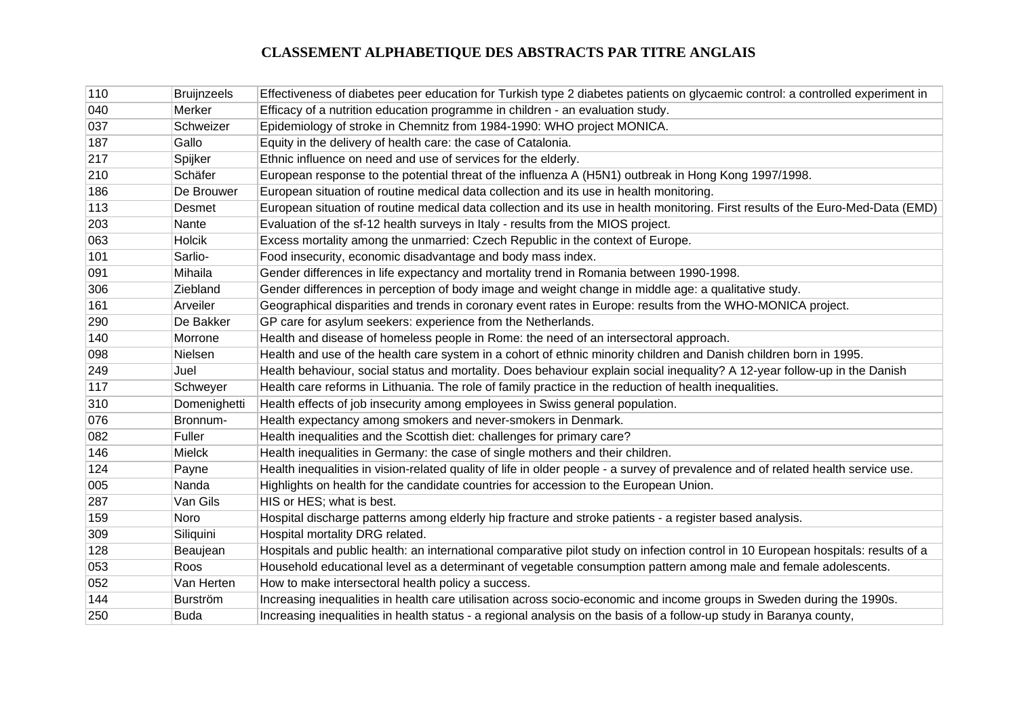| 110 | <b>Bruijnzeels</b> | Effectiveness of diabetes peer education for Turkish type 2 diabetes patients on glycaemic control: a controlled experiment in    |
|-----|--------------------|-----------------------------------------------------------------------------------------------------------------------------------|
| 040 | Merker             | Efficacy of a nutrition education programme in children - an evaluation study.                                                    |
| 037 | Schweizer          | Epidemiology of stroke in Chemnitz from 1984-1990: WHO project MONICA.                                                            |
| 187 | Gallo              | Equity in the delivery of health care: the case of Catalonia.                                                                     |
| 217 | Spijker            | Ethnic influence on need and use of services for the elderly.                                                                     |
| 210 | Schäfer            | European response to the potential threat of the influenza A (H5N1) outbreak in Hong Kong 1997/1998.                              |
| 186 | De Brouwer         | European situation of routine medical data collection and its use in health monitoring.                                           |
| 113 | Desmet             | European situation of routine medical data collection and its use in health monitoring. First results of the Euro-Med-Data (EMD)  |
| 203 | Nante              | Evaluation of the sf-12 health surveys in Italy - results from the MIOS project.                                                  |
| 063 | Holcik             | Excess mortality among the unmarried: Czech Republic in the context of Europe.                                                    |
| 101 | Sarlio-            | Food insecurity, economic disadvantage and body mass index.                                                                       |
| 091 | Mihaila            | Gender differences in life expectancy and mortality trend in Romania between 1990-1998.                                           |
| 306 | Ziebland           | Gender differences in perception of body image and weight change in middle age: a qualitative study.                              |
| 161 | Arveiler           | Geographical disparities and trends in coronary event rates in Europe: results from the WHO-MONICA project.                       |
| 290 | De Bakker          | GP care for asylum seekers: experience from the Netherlands.                                                                      |
| 140 | Morrone            | Health and disease of homeless people in Rome: the need of an intersectoral approach.                                             |
| 098 | Nielsen            | Health and use of the health care system in a cohort of ethnic minority children and Danish children born in 1995.                |
| 249 | Juel               | Health behaviour, social status and mortality. Does behaviour explain social inequality? A 12-year follow-up in the Danish        |
| 117 | Schweyer           | Health care reforms in Lithuania. The role of family practice in the reduction of health inequalities.                            |
| 310 | Domenighetti       | Health effects of job insecurity among employees in Swiss general population.                                                     |
| 076 | Bronnum-           | Health expectancy among smokers and never-smokers in Denmark.                                                                     |
| 082 | Fuller             | Health inequalities and the Scottish diet: challenges for primary care?                                                           |
| 146 | Mielck             | Health inequalities in Germany: the case of single mothers and their children.                                                    |
| 124 | Payne              | Health inequalities in vision-related quality of life in older people - a survey of prevalence and of related health service use. |
| 005 | Nanda              | Highlights on health for the candidate countries for accession to the European Union.                                             |
| 287 | Van Gils           | HIS or HES; what is best.                                                                                                         |
| 159 | Noro               | Hospital discharge patterns among elderly hip fracture and stroke patients - a register based analysis.                           |
| 309 | Siliquini          | Hospital mortality DRG related.                                                                                                   |
| 128 | Beaujean           | Hospitals and public health: an international comparative pilot study on infection control in 10 European hospitals: results of a |
| 053 | Roos               | Household educational level as a determinant of vegetable consumption pattern among male and female adolescents.                  |
| 052 | Van Herten         | How to make intersectoral health policy a success.                                                                                |
| 144 | <b>Burström</b>    | Increasing inequalities in health care utilisation across socio-economic and income groups in Sweden during the 1990s.            |
| 250 | <b>Buda</b>        | Increasing inequalities in health status - a regional analysis on the basis of a follow-up study in Baranya county,               |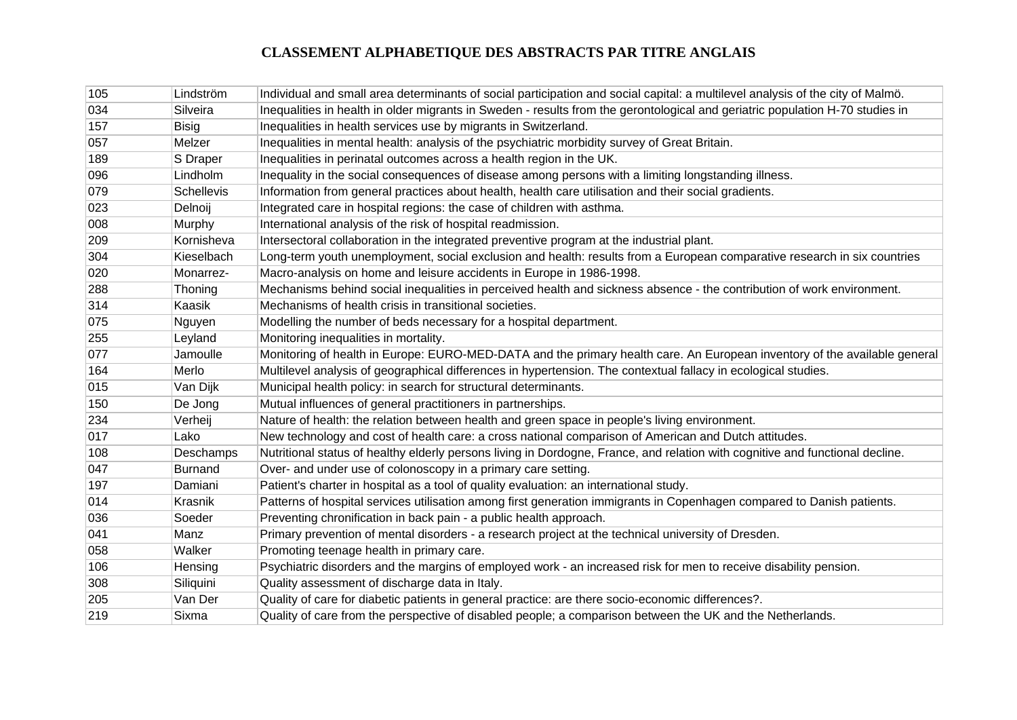| 105 | Lindström         | Individual and small area determinants of social participation and social capital: a multilevel analysis of the city of Malmö. |
|-----|-------------------|--------------------------------------------------------------------------------------------------------------------------------|
| 034 | Silveira          | Inequalities in health in older migrants in Sweden - results from the gerontological and geriatric population H-70 studies in  |
| 157 | <b>Bisig</b>      | Inequalities in health services use by migrants in Switzerland.                                                                |
| 057 | Melzer            | Inequalities in mental health: analysis of the psychiatric morbidity survey of Great Britain.                                  |
| 189 | S Draper          | Inequalities in perinatal outcomes across a health region in the UK.                                                           |
| 096 | Lindholm          | Inequality in the social consequences of disease among persons with a limiting longstanding illness.                           |
| 079 | <b>Schellevis</b> | Information from general practices about health, health care utilisation and their social gradients.                           |
| 023 | Delnoij           | Integrated care in hospital regions: the case of children with asthma.                                                         |
| 008 | Murphy            | International analysis of the risk of hospital readmission.                                                                    |
| 209 | Kornisheva        | Intersectoral collaboration in the integrated preventive program at the industrial plant.                                      |
| 304 | Kieselbach        | Long-term youth unemployment, social exclusion and health: results from a European comparative research in six countries       |
| 020 | Monarrez-         | Macro-analysis on home and leisure accidents in Europe in 1986-1998.                                                           |
| 288 | Thoning           | Mechanisms behind social inequalities in perceived health and sickness absence - the contribution of work environment.         |
| 314 | Kaasik            | Mechanisms of health crisis in transitional societies.                                                                         |
| 075 | Nguyen            | Modelling the number of beds necessary for a hospital department.                                                              |
| 255 | Leyland           | Monitoring inequalities in mortality.                                                                                          |
| 077 | Jamoulle          | Monitoring of health in Europe: EURO-MED-DATA and the primary health care. An European inventory of the available general      |
| 164 | Merlo             | Multilevel analysis of geographical differences in hypertension. The contextual fallacy in ecological studies.                 |
| 015 | Van Dijk          | Municipal health policy: in search for structural determinants.                                                                |
| 150 | De Jong           | Mutual influences of general practitioners in partnerships.                                                                    |
| 234 | Verheij           | Nature of health: the relation between health and green space in people's living environment.                                  |
| 017 | Lako              | New technology and cost of health care: a cross national comparison of American and Dutch attitudes.                           |
| 108 | Deschamps         | Nutritional status of healthy elderly persons living in Dordogne, France, and relation with cognitive and functional decline.  |
| 047 | <b>Burnand</b>    | Over- and under use of colonoscopy in a primary care setting.                                                                  |
| 197 | Damiani           | Patient's charter in hospital as a tool of quality evaluation: an international study.                                         |
| 014 | Krasnik           | Patterns of hospital services utilisation among first generation immigrants in Copenhagen compared to Danish patients.         |
| 036 | Soeder            | Preventing chronification in back pain - a public health approach.                                                             |
| 041 | Manz              | Primary prevention of mental disorders - a research project at the technical university of Dresden.                            |
| 058 | Walker            | Promoting teenage health in primary care.                                                                                      |
| 106 | Hensing           | Psychiatric disorders and the margins of employed work - an increased risk for men to receive disability pension.              |
| 308 | Siliquini         | Quality assessment of discharge data in Italy.                                                                                 |
| 205 | Van Der           | Quality of care for diabetic patients in general practice: are there socio-economic differences?.                              |
| 219 | Sixma             | Quality of care from the perspective of disabled people; a comparison between the UK and the Netherlands.                      |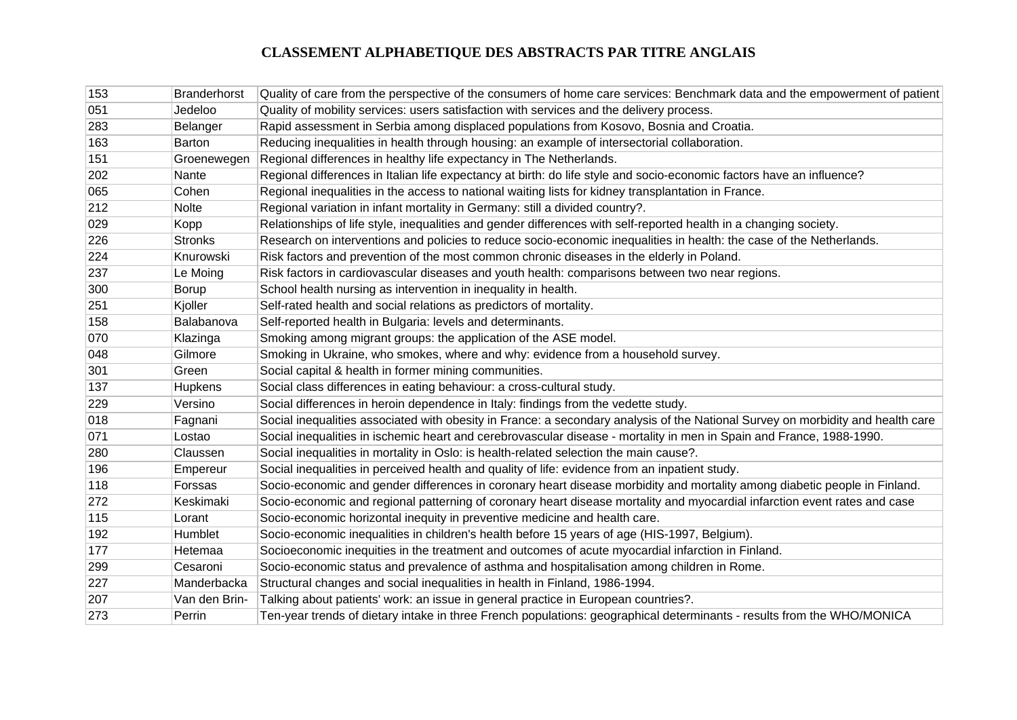| 153 | <b>Branderhorst</b> | Quality of care from the perspective of the consumers of home care services: Benchmark data and the empowerment of patient      |
|-----|---------------------|---------------------------------------------------------------------------------------------------------------------------------|
| 051 | Jedeloo             | Quality of mobility services: users satisfaction with services and the delivery process.                                        |
| 283 | Belanger            | Rapid assessment in Serbia among displaced populations from Kosovo, Bosnia and Croatia.                                         |
| 163 | <b>Barton</b>       | Reducing inequalities in health through housing: an example of intersectorial collaboration.                                    |
| 151 | Groenewegen         | Regional differences in healthy life expectancy in The Netherlands.                                                             |
| 202 | Nante               | Regional differences in Italian life expectancy at birth: do life style and socio-economic factors have an influence?           |
| 065 | Cohen               | Regional inequalities in the access to national waiting lists for kidney transplantation in France.                             |
| 212 | <b>Nolte</b>        | Regional variation in infant mortality in Germany: still a divided country?.                                                    |
| 029 | Kopp                | Relationships of life style, inequalities and gender differences with self-reported health in a changing society.               |
| 226 | <b>Stronks</b>      | Research on interventions and policies to reduce socio-economic inequalities in health: the case of the Netherlands.            |
| 224 | Knurowski           | Risk factors and prevention of the most common chronic diseases in the elderly in Poland.                                       |
| 237 | Le Moing            | Risk factors in cardiovascular diseases and youth health: comparisons between two near regions.                                 |
| 300 | Borup               | School health nursing as intervention in inequality in health.                                                                  |
| 251 | Kjoller             | Self-rated health and social relations as predictors of mortality.                                                              |
| 158 | Balabanova          | Self-reported health in Bulgaria: levels and determinants.                                                                      |
| 070 | Klazinga            | Smoking among migrant groups: the application of the ASE model.                                                                 |
| 048 | Gilmore             | Smoking in Ukraine, who smokes, where and why: evidence from a household survey.                                                |
| 301 | Green               | Social capital & health in former mining communities.                                                                           |
| 137 | Hupkens             | Social class differences in eating behaviour: a cross-cultural study.                                                           |
| 229 | Versino             | Social differences in heroin dependence in Italy: findings from the vedette study.                                              |
| 018 | Fagnani             | Social inequalities associated with obesity in France: a secondary analysis of the National Survey on morbidity and health care |
| 071 | Lostao              | Social inequalities in ischemic heart and cerebrovascular disease - mortality in men in Spain and France, 1988-1990.            |
| 280 | Claussen            | Social inequalities in mortality in Oslo: is health-related selection the main cause?.                                          |
| 196 | Empereur            | Social inequalities in perceived health and quality of life: evidence from an inpatient study.                                  |
| 118 | Forssas             | Socio-economic and gender differences in coronary heart disease morbidity and mortality among diabetic people in Finland.       |
| 272 | Keskimaki           | Socio-economic and regional patterning of coronary heart disease mortality and myocardial infarction event rates and case       |
| 115 | Lorant              | Socio-economic horizontal inequity in preventive medicine and health care.                                                      |
| 192 | Humblet             | Socio-economic inequalities in children's health before 15 years of age (HIS-1997, Belgium).                                    |
| 177 | Hetemaa             | Socioeconomic inequities in the treatment and outcomes of acute myocardial infarction in Finland.                               |
| 299 | Cesaroni            | Socio-economic status and prevalence of asthma and hospitalisation among children in Rome.                                      |
| 227 | Manderbacka         | Structural changes and social inequalities in health in Finland, 1986-1994.                                                     |
| 207 | Van den Brin-       | Talking about patients' work: an issue in general practice in European countries?.                                              |
| 273 | Perrin              | Ten-year trends of dietary intake in three French populations: geographical determinants - results from the WHO/MONICA          |